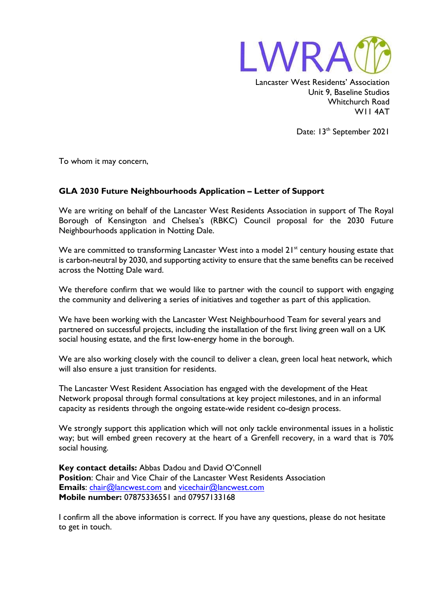

Lancaster West Residents' Association Unit 9, Baseline Studios Whitchurch Road W11 4AT

Date: 13<sup>th</sup> September 2021

To whom it may concern,

## **GLA 2030 Future Neighbourhoods Application – Letter of Support**

We are writing on behalf of the Lancaster West Residents Association in support of The Royal Borough of Kensington and Chelsea's (RBKC) Council proposal for the 2030 Future Neighbourhoods application in Notting Dale.

We are committed to transforming Lancaster West into a model 21<sup>st</sup> century housing estate that is carbon-neutral by 2030, and supporting activity to ensure that the same benefits can be received across the Notting Dale ward.

We therefore confirm that we would like to partner with the council to support with engaging the community and delivering a series of initiatives and together as part of this application.

We have been working with the Lancaster West Neighbourhood Team for several years and partnered on successful projects, including the installation of the first living green wall on a UK social housing estate, and the first low-energy home in the borough.

We are also working closely with the council to deliver a clean, green local heat network, which will also ensure a just transition for residents.

The Lancaster West Resident Association has engaged with the development of the Heat Network proposal through formal consultations at key project milestones, and in an informal capacity as residents through the ongoing estate-wide resident co-design process.

We strongly support this application which will not only tackle environmental issues in a holistic way; but will embed green recovery at the heart of a Grenfell recovery, in a ward that is 70% social housing.

**Key contact details:** Abbas Dadou and David O'Connell **Position:** Chair and Vice Chair of the Lancaster West Residents Association **Emails**: [chair@lancwest.com](mailto:chair@lancwest.com) and [vicechair@lancwest.com](mailto:vicechair@lancwest.com) **Mobile number:** 07875336551 and 07957133168

I confirm all the above information is correct. If you have any questions, please do not hesitate to get in touch.